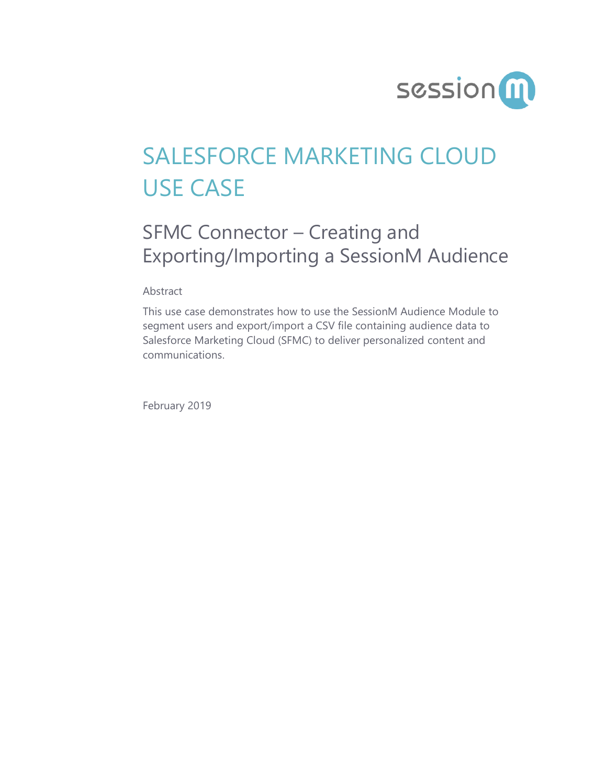

# SALESFORCE MARKETING CLOUD USE CASE

## SFMC Connector – Creating and Exporting/Importing a SessionM Audience

Abstract

This use case demonstrates how to use the SessionM Audience Module to segment users and export/import a CSV file containing audience data to Salesforce Marketing Cloud (SFMC) to deliver personalized content and communications.

February 2019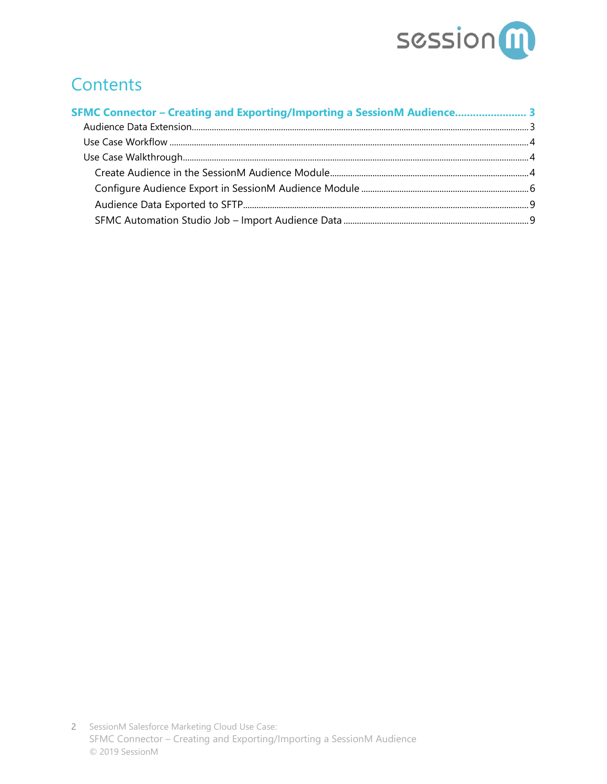

### **Contents**

| SFMC Connector - Creating and Exporting/Importing a SessionM Audience 3 |  |
|-------------------------------------------------------------------------|--|
|                                                                         |  |
|                                                                         |  |
|                                                                         |  |
|                                                                         |  |
|                                                                         |  |
|                                                                         |  |
|                                                                         |  |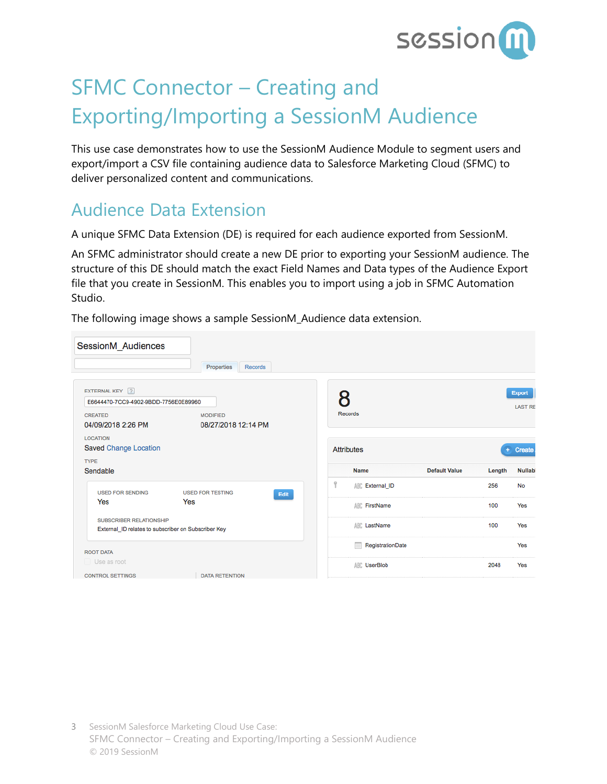

## <span id="page-2-0"></span>SFMC Connector – Creating and Exporting/Importing a SessionM Audience

This use case demonstrates how to use the SessionM Audience Module to segment users and export/import a CSV file containing audience data to Salesforce Marketing Cloud (SFMC) to deliver personalized content and communications.

### <span id="page-2-1"></span>Audience Data Extension

A unique SFMC Data Extension (DE) is required for each audience exported from SessionM.

An SFMC administrator should create a new DE prior to exporting your SessionM audience. The structure of this DE should match the exact Field Names and Data types of the Audience Export file that you create in SessionM. This enables you to import using a job in SFMC Automation Studio.

The following image shows a sample SessionM\_Audience data extension.

| SessionM_Audiences                                                                                                | Properties<br><b>Records</b>           |   |                        |                      |        |                                 |
|-------------------------------------------------------------------------------------------------------------------|----------------------------------------|---|------------------------|----------------------|--------|---------------------------------|
| EXTERNAL KEY ?<br>E6644470-7CC9-4902-9BDD-7756E0E89960<br><b>CREATED</b><br>04/09/2018 2:26 PM<br><b>LOCATION</b> | <b>MODIFIED</b><br>08/27/2018 12:14 PM |   | <b>Records</b>         |                      |        | <b>Export</b><br><b>LAST RE</b> |
| Saved Change Location                                                                                             |                                        |   | <b>Attributes</b>      |                      |        | Create                          |
| <b>TYPE</b><br>Sendable                                                                                           |                                        |   | <b>Name</b>            | <b>Default Value</b> | Length | <b>Nullabl</b>                  |
| <b>USED FOR SENDING</b>                                                                                           | <b>USED FOR TESTING</b>                | Ÿ | <b>ABC</b> External ID |                      | 256    | <b>No</b>                       |
| Yes                                                                                                               | Edit<br>Yes                            |   | <b>ABC</b> FirstName   |                      | 100    | Yes                             |
| <b>SUBSCRIBER RELATIONSHIP</b><br>External_ID relates to subscriber on Subscriber Key                             |                                        |   | <b>ABC</b> LastName    |                      | 100    | Yes                             |
| <b>ROOT DATA</b>                                                                                                  |                                        |   | m<br>RegistrationDate  |                      |        | Yes                             |
| Use as root                                                                                                       |                                        |   | <b>ABC</b> UserBlob    |                      | 2048   | Yes                             |
| <b>CONTROL SETTINGS</b>                                                                                           | <b>DATA RETENTION</b>                  |   |                        |                      |        |                                 |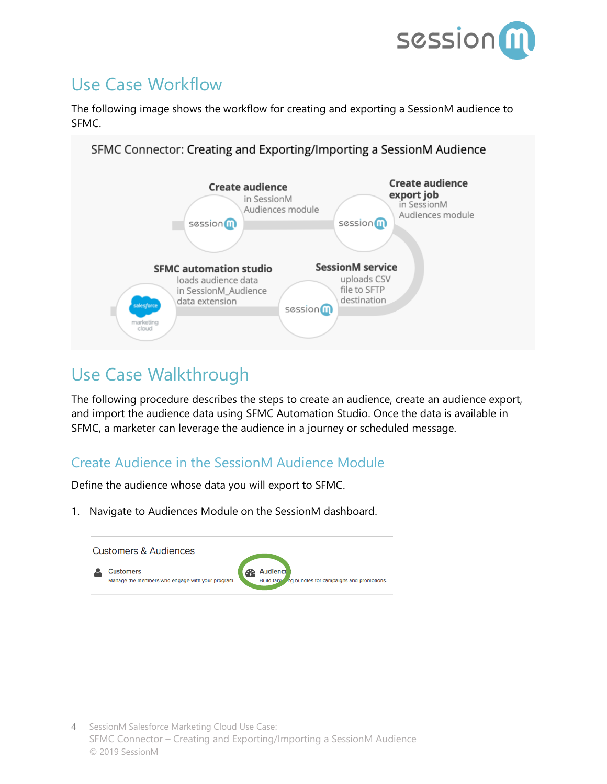

### <span id="page-3-0"></span>Use Case Workflow

The following image shows the workflow for creating and exporting a SessionM audience to SFMC.



### <span id="page-3-1"></span>Use Case Walkthrough

The following procedure describes the steps to create an audience, create an audience export, and import the audience data using SFMC Automation Studio. Once the data is available in SFMC, a marketer can leverage the audience in a journey or scheduled message.

#### <span id="page-3-2"></span>Create Audience in the SessionM Audience Module

Define the audience whose data you will export to SFMC.

1. Navigate to Audiences Module on the SessionM dashboard.

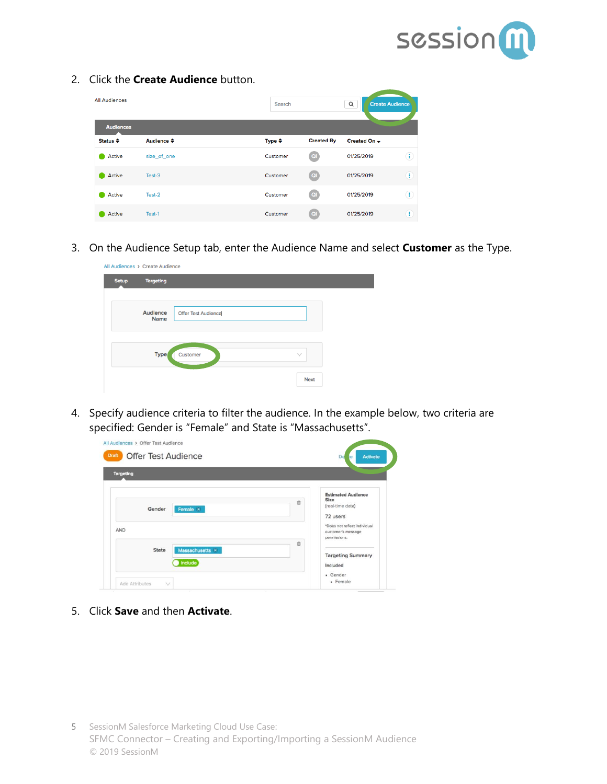

2. Click the **Create Audience** button.

| <b>All Audiences</b> |                      | Search            |                   | $\alpha$<br><b>Create Audience</b> |               |
|----------------------|----------------------|-------------------|-------------------|------------------------------------|---------------|
| <b>Audiences</b>     |                      |                   |                   |                                    |               |
| Status ≑             | Audience $\triangle$ | Type $\triangleq$ | <b>Created By</b> | Created On ~                       |               |
| Active               | size_of_one          | Customer          | QI                | 01/25/2019                         | ⊕             |
| Active               | Test-3               | Customer          | $\alpha$          | 01/25/2019                         | Œ             |
| Active               | Test-2               | Customer          | $\alpha$          | 01/25/2019                         | $\circled{f}$ |
| Active               | Test-1               | Customer          | <b>QI</b>         | 01/25/2019                         | Ŧ             |

3. On the Audience Setup tab, enter the Audience Name and select **Customer** as the Type.

| <b>Setup</b> | <b>Targeting</b>        |                            |              |
|--------------|-------------------------|----------------------------|--------------|
|              | Audience<br><b>Name</b> | <b>Offer Test Audience</b> |              |
|              | <b>Type</b>             | Customer                   | $\checkmark$ |
|              |                         |                            | <b>Next</b>  |

4. Specify audience criteria to filter the audience. In the example below, two criteria are specified: Gender is "Female" and State is "Massachusetts".

| <b>Targeting</b>                           |                                                                    |
|--------------------------------------------|--------------------------------------------------------------------|
| 亩<br>Female $\times$<br>Gender             | <b>Estimated Audience</b><br>Size<br>(real-time data)<br>72 users  |
| AND<br>宣                                   | *Does not reflect individual<br>customer's message<br>permissions. |
| Massachusetts ×<br><b>State</b><br>Include | <b>Targeting Summary</b><br>Included<br>· Gender                   |

5. Click **Save** and then **Activate**.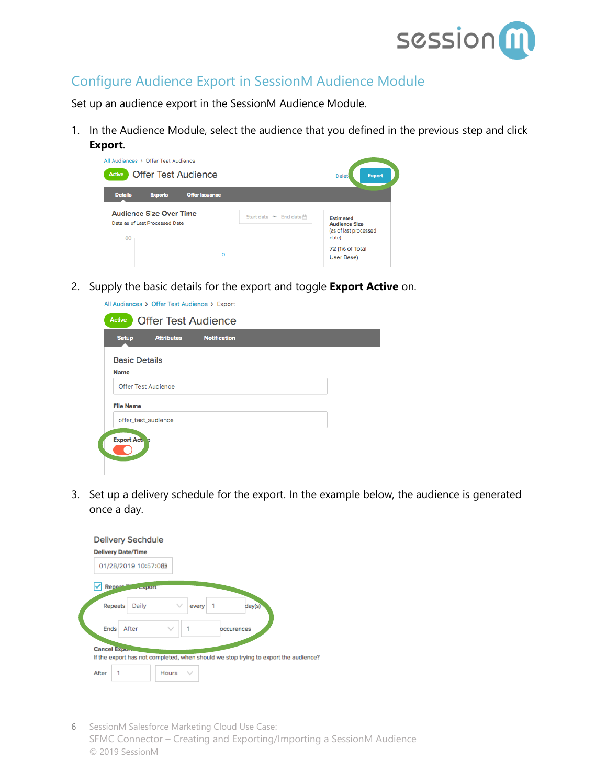

#### <span id="page-5-0"></span>Configure Audience Export in SessionM Audience Module

Set up an audience export in the SessionM Audience Module.

1. In the Audience Module, select the audience that you defined in the previous step and click

| Export.                                                   |                       |                                                        |
|-----------------------------------------------------------|-----------------------|--------------------------------------------------------|
| All Audiences > Offer Test Audience                       |                       |                                                        |
| <b>Offer Test Audience</b><br>Active                      |                       | <b>Export</b><br>Delet                                 |
| <b>Details</b><br><b>Offer Issuance</b><br><b>Exports</b> |                       |                                                        |
|                                                           |                       |                                                        |
| <b>Audience Size Over Time</b>                            | Start date ~ End date | <b>Estimated</b>                                       |
| Data as of Last Processed Date<br>80                      |                       | <b>Audience Size</b><br>(as of last processed<br>date) |

2. Supply the basic details for the export and toggle **Export Active** on.

|                     | All Audiences > Offer Test Audience > Export | Active                              |
|---------------------|----------------------------------------------|-------------------------------------|
|                     | <b>Offer Test Audience</b>                   |                                     |
| <b>Notification</b> | <b>Attributes</b>                            | <b>Setup</b>                        |
|                     |                                              | <b>Basic Details</b><br><b>Name</b> |
|                     | <b>Offer Test Audience</b>                   |                                     |
|                     |                                              | <b>File Name</b>                    |
|                     | offer_test_audience                          |                                     |
|                     |                                              | <b>Export Act.</b> e                |
|                     |                                              |                                     |

3. Set up a delivery schedule for the export. In the example below, the audience is generated once a day.

|       | <b>Delivery Sechdule</b><br><b>Delivery Date/Time</b>                               |       |            |        |  |
|-------|-------------------------------------------------------------------------------------|-------|------------|--------|--|
|       | 01/28/2019 10:57:08a                                                                |       |            |        |  |
|       | <b>Repeat</b><br>$ \kappa$ port                                                     |       |            |        |  |
|       | Daily<br>Repeats                                                                    | every |            | day(s) |  |
| Ends  | After                                                                               |       | occurences |        |  |
|       | Cancel Expon.                                                                       |       |            |        |  |
|       | If the export has not completed, when should we stop trying to export the audience? |       |            |        |  |
| After | Hours                                                                               |       |            |        |  |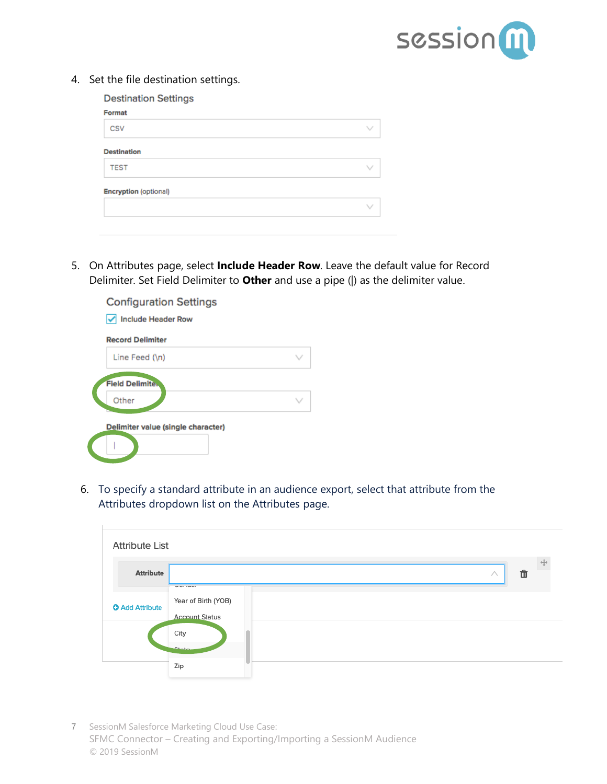

4. Set the file destination settings.

| <b>Destination Settings</b>  |              |
|------------------------------|--------------|
| Format                       |              |
| CSV                          | $\checkmark$ |
| <b>Destination</b>           |              |
| <b>TEST</b>                  | $\checkmark$ |
| <b>Encryption (optional)</b> |              |
|                              | W            |
|                              |              |
|                              |              |

5. On Attributes page, select **Include Header Row**. Leave the default value for Record Delimiter. Set Field Delimiter to **Other** and use a pipe (|) as the delimiter value.



6. To specify a standard attribute in an audience export, select that attribute from the Attributes dropdown list on the Attributes page.

| <b>Attribute List</b>  |                                              |  |
|------------------------|----------------------------------------------|--|
| <b>Attribute</b>       | Û<br>л<br><b>MARINERS</b>                    |  |
| <b>O</b> Add Attribute | Year of Birth (YOB)<br><b>Account Status</b> |  |
|                        | City<br>$C_{\text{tata}}$                    |  |
|                        | Zip                                          |  |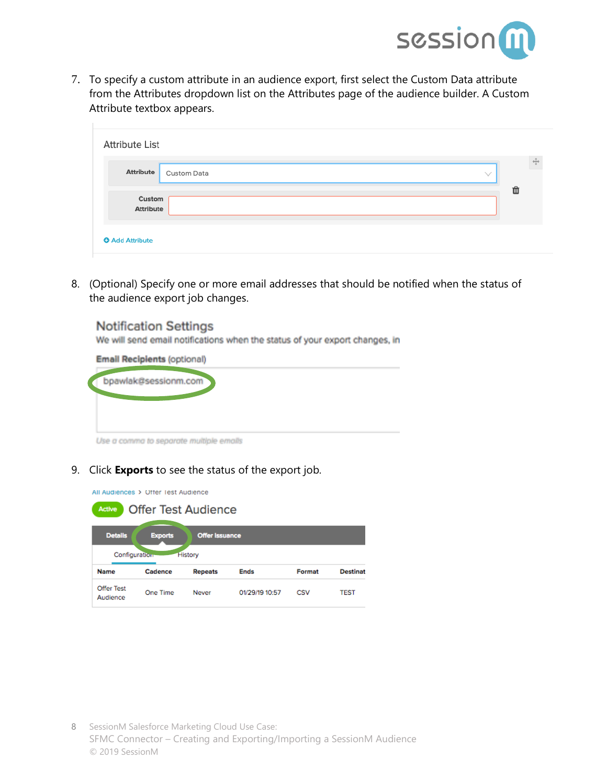

7. To specify a custom attribute in an audience export, first select the Custom Data attribute from the Attributes dropdown list on the Attributes page of the audience builder. A Custom Attribute textbox appears.

| <b>Attribute List</b>      |                           |   | ⊕ |
|----------------------------|---------------------------|---|---|
| <b>Attribute</b>           | Custom Data<br>$\searrow$ |   |   |
| Custom<br><b>Attribute</b> |                           | û |   |
| <b>O</b> Add Attribute     |                           |   |   |

8. (Optional) Specify one or more email addresses that should be notified when the status of the audience export job changes.



9. Click **Exports** to see the status of the export job.

All Audiences > Offer Test Audience

| <b>Offer Test Audience</b><br>Active                      |          |                                  |                |        |                 |  |  |
|-----------------------------------------------------------|----------|----------------------------------|----------------|--------|-----------------|--|--|
| <b>Details</b><br><b>Exports</b><br><b>Offer Issuance</b> |          |                                  |                |        |                 |  |  |
| Configuration<br><b>Name</b>                              | Cadence  | <b>History</b><br><b>Repeats</b> | <b>Ends</b>    | Format | <b>Destinat</b> |  |  |
| Offer Test<br>Audience                                    | One Time | Never                            | 01/29/19 10:57 | CSV    | <b>TEST</b>     |  |  |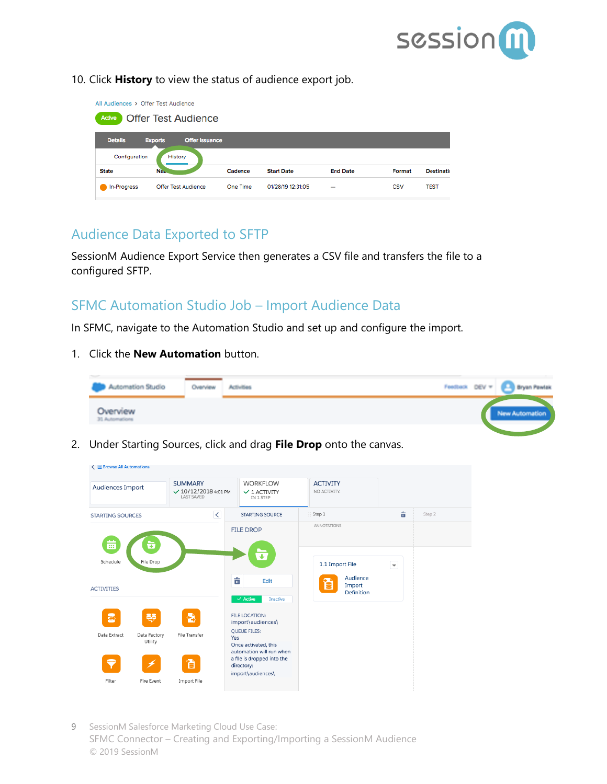

10. Click **History** to view the status of audience export job.

| All Audiences > Offer Test Audience |                                         |          |                   |                          |        |                   |  |  |  |
|-------------------------------------|-----------------------------------------|----------|-------------------|--------------------------|--------|-------------------|--|--|--|
| Active                              | <b>Offer Test Audience</b>              |          |                   |                          |        |                   |  |  |  |
|                                     |                                         |          |                   |                          |        |                   |  |  |  |
| <b>Details</b>                      | <b>Offer Issuance</b><br><b>Exports</b> |          |                   |                          |        |                   |  |  |  |
|                                     | Configuration<br>History                |          |                   |                          |        |                   |  |  |  |
| <b>State</b>                        | Na.                                     | Cadence  | <b>Start Date</b> | <b>End Date</b>          | Format | <b>Destinatio</b> |  |  |  |
| In-Progress                         | Offer Test Audience                     | One Time | 01/28/19 12:31:05 | $\overline{\phantom{a}}$ | CSV    | <b>TEST</b>       |  |  |  |
|                                     |                                         |          |                   |                          |        |                   |  |  |  |

#### <span id="page-8-0"></span>Audience Data Exported to SFTP

SessionM Audience Export Service then generates a CSV file and transfers the file to a configured SFTP.

#### <span id="page-8-1"></span>SFMC Automation Studio Job – Import Audience Data

In SFMC, navigate to the Automation Studio and set up and configure the import.

1. Click the **New Automation** button.



2. Under Starting Sources, click and drag **File Drop** onto the canvas.

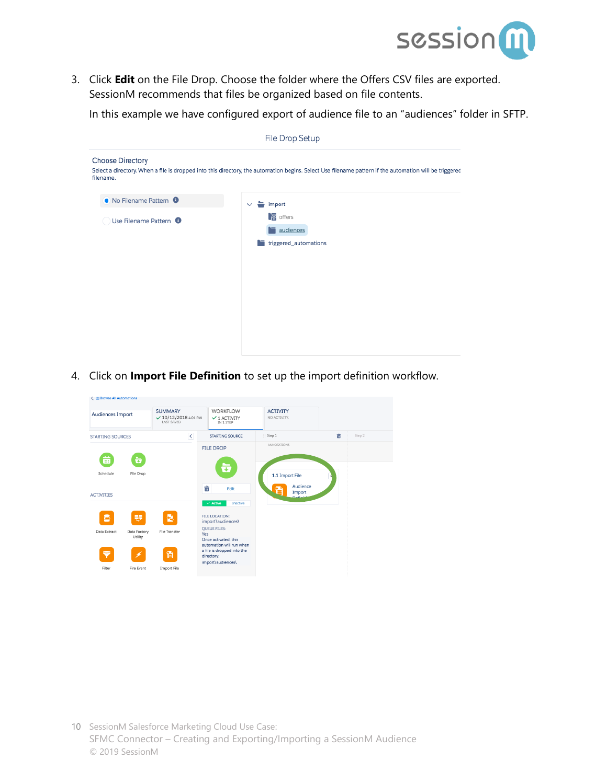

3. Click **Edit** on the File Drop. Choose the folder where the Offers CSV files are exported. SessionM recommends that files be organized based on file contents.

In this example we have configured export of audience file to an "audiences" folder in SFTP.

| File Drop Setup                      |                                                                                                                                                        |  |  |  |  |  |  |
|--------------------------------------|--------------------------------------------------------------------------------------------------------------------------------------------------------|--|--|--|--|--|--|
| <b>Choose Directory</b><br>filename. | Select a directory. When a file is dropped into this directory, the automation begins. Select Use filename pattern if the automation will be triggered |  |  |  |  |  |  |
| • No Filename Pattern •              | $\vee$ $\blacksquare$ import                                                                                                                           |  |  |  |  |  |  |
| Use Filename Pattern <sup>O</sup>    | $\sqrt{a}$ offers<br>$\blacksquare$ audiences<br>triggered_automations<br>n                                                                            |  |  |  |  |  |  |
|                                      |                                                                                                                                                        |  |  |  |  |  |  |

4. Click on **Import File Definition** to set up the import definition workflow.

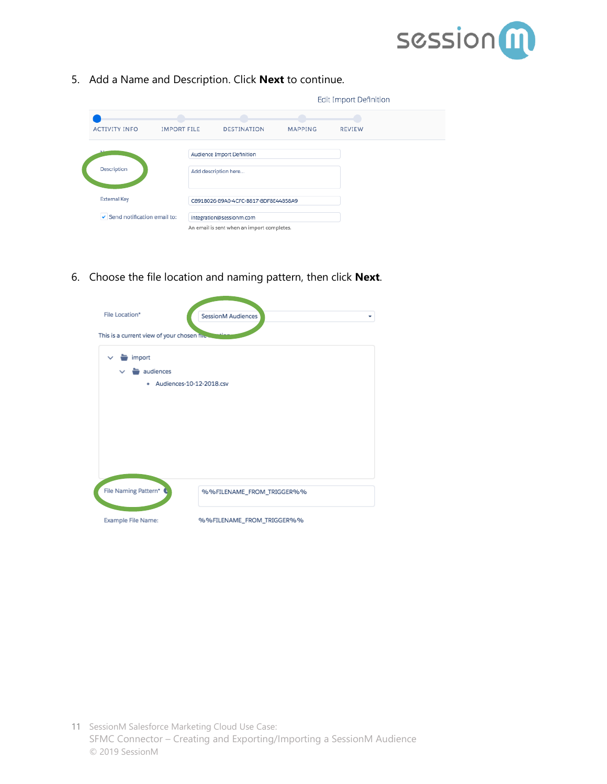

5. Add a Name and Description. Click **Next** to continue.

|                             |                    |                                            |                | Edit Import Definition |  |
|-----------------------------|--------------------|--------------------------------------------|----------------|------------------------|--|
|                             |                    |                                            |                |                        |  |
| <b>ACTIVITY INFO</b>        | <b>IMPORT FILE</b> | <b>DESTINATION</b>                         | <b>MAPPING</b> | <b>REVIEW</b>          |  |
|                             |                    | Audience Import Definition                 |                |                        |  |
| Description                 |                    | Add description here                       |                |                        |  |
| <b>External Key</b>         |                    | C891B026-B9A0-4CFC-B817-8DF8E44858A9       |                |                        |  |
| Send notification email to: |                    | integration@sessionm.com                   |                |                        |  |
|                             |                    | An email is sent when an import completes. |                |                        |  |

6. Choose the file location and naming pattern, then click **Next**.

| File Location*<br>This is a current view of your chosen fire to   | SessionM Audiences<br>÷   |
|-------------------------------------------------------------------|---------------------------|
| import<br>$\checkmark$<br>audiences<br>· Audiences-10-12-2018.csv |                           |
|                                                                   |                           |
|                                                                   |                           |
|                                                                   |                           |
| File Naming Pattern*                                              | %%FILENAME_FROM_TRIGGER%% |
| Example File Name:                                                | %%FILENAME_FROM_TRIGGER%% |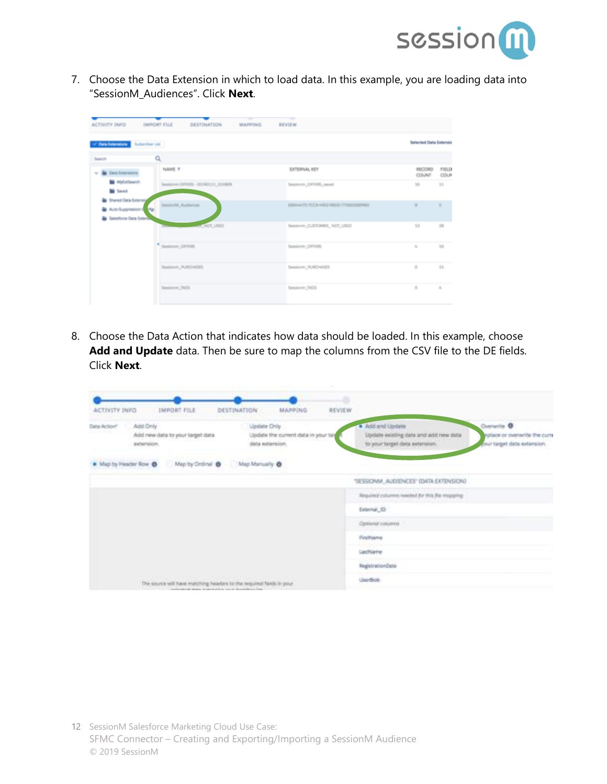

7. Choose the Data Extension in which to load data. In this example, you are loading data into "SessionM\_Audiences". Click **Next**.

| of Data Edwardson Subscriber List                                              |                                   |                                      | Sellected Data Externic |               |
|--------------------------------------------------------------------------------|-----------------------------------|--------------------------------------|-------------------------|---------------|
| Search                                                                         | Q                                 |                                      |                         |               |
| v & bra branions                                                               | NAME ?                            | EXTERNAL KEY                         | RECORD<br>COUNT         | FIELD<br>COUP |
| <b>M</b> McColleanon<br><b>M</b> Saved                                         | Sessionm DFFERS - 20190111_010809 | Sessionm, OFFERS, saved              | $105 -$                 | 33            |
| Shared Oata Extensiv<br>٠<br>Auto-Suppression 1 Mp.<br>la Salestona Data Grano | essionM_Audiences                 | E664AX70-7CCB-40E2-98CO-7754EOE89960 | ٠                       | ×             |
|                                                                                | A NOT USED                        | Sealone, CUSTOMER, NOT USED          | 33                      | 28            |
|                                                                                | Sessionm, OFFERS                  | Sessionm, OFFERS                     | $\alpha$                | 35            |
|                                                                                | Sessionm, PURO MSES               | Sessionm_PURD (KSES)                 | ÷                       | 35            |
|                                                                                | Sessionen, TAGS                   | Seniove, 3455                        | ÷                       | $\lambda$     |

8. Choose the Data Action that indicates how data should be loaded. In this example, choose **Add and Update** data. Then be sure to map the columns from the CSV file to the DE fields. Click **Next**.

|                       |                                                                      |                                                                        |                                                                         | ۰      |                                                                                              |                                                                            |
|-----------------------|----------------------------------------------------------------------|------------------------------------------------------------------------|-------------------------------------------------------------------------|--------|----------------------------------------------------------------------------------------------|----------------------------------------------------------------------------|
| ACTIVITY INFO         | <b>IMPORT FILE</b>                                                   | DESTINATION                                                            | <b>MAPPING</b>                                                          | REVIEW |                                                                                              |                                                                            |
| Data-Action®<br>・いいから | Add Only<br>Add new data to your terget data.<br>externation:        |                                                                        | Update Crity<br>Update the current data in your tar<br>dista externion. |        | · Add and Update<br>Update existing data and add new data<br>to your target data neterision. | Denverile O<br>rplace or overwrite the curre<br>your target data externor. |
|                       | . Map by Header Row . Map by Ordinal @ . [ Map Martually @           |                                                                        |                                                                         |        |                                                                                              |                                                                            |
|                       |                                                                      |                                                                        |                                                                         |        | "SESSIONM_AUDIENCES" (DATA EXTENSION)                                                        |                                                                            |
|                       |                                                                      |                                                                        |                                                                         |        | Required columns hasked for this file magazing                                               |                                                                            |
|                       |                                                                      |                                                                        |                                                                         |        | External, 32                                                                                 |                                                                            |
|                       |                                                                      |                                                                        |                                                                         |        | Optional columns                                                                             |                                                                            |
|                       |                                                                      |                                                                        |                                                                         |        | FirstName                                                                                    |                                                                            |
|                       |                                                                      |                                                                        |                                                                         |        | LastName                                                                                     |                                                                            |
|                       |                                                                      |                                                                        |                                                                         |        | RegistrationDate                                                                             |                                                                            |
|                       | The source will have matching headers to the required fields in your | - and pursue of stream in stream also in the strike with an illustrial |                                                                         |        | Usedies                                                                                      |                                                                            |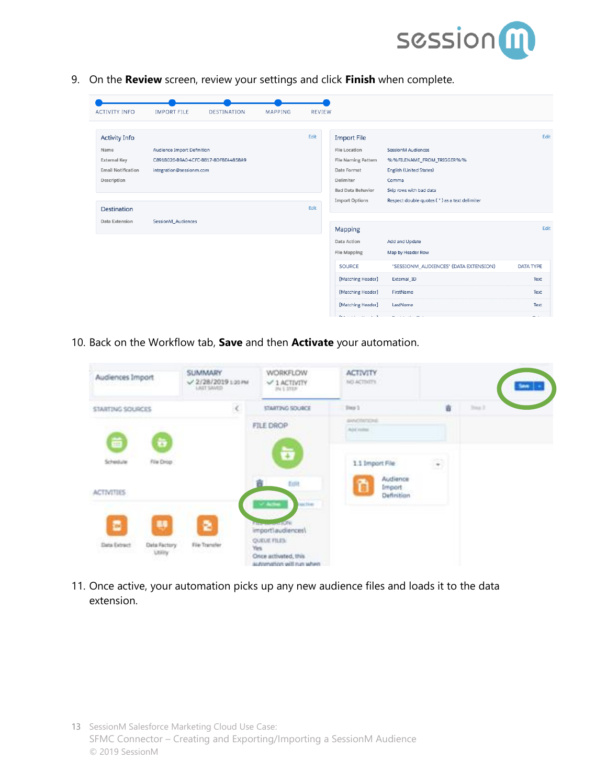

9. On the **Review** screen, review your settings and click **Finish** when complete.

| Edit<br><b>Activity Info</b><br><b>Import File</b><br>Audience Import Definition<br><b>File Location</b><br>SessionM Audiences<br>Name<br>File Naming Pattern<br>%%FILENAME_FROM_TRIGGER%%<br><b>External Key</b><br>C891B026-B9A0-4CFC-B817-8DF8E44858A9<br>English (United States)<br><b>Email Notification</b><br>Date Format<br>integration@sessionm.com<br>Description<br>Delimiter<br>Comma<br><b>Bad Data Behavior</b><br>Skip rows with bad data<br>Respect double quotes (") as a text delimiter<br><b>Import Options</b><br>Edit<br>Destination<br>SessionM Audiences<br>Data Extension<br>Edit<br>Mapping<br>Data Action<br>Add and Update<br><b>File Mapping</b><br>Map by Header Row<br><b>SOURCE</b><br>"SESSIONM_AUDIENCES" (DATA EXTENSION)<br>[Matching Header]<br>External_ID<br>[Matching Header]<br>FirstName<br>[Matching Header]<br>LastName | <b>ACTIVITY INFO</b> | <b>IMPORT FILE</b> | <b>DESTINATION</b> | <b>MAPPING</b> | <b>REVIEW</b> |  |                          |
|--------------------------------------------------------------------------------------------------------------------------------------------------------------------------------------------------------------------------------------------------------------------------------------------------------------------------------------------------------------------------------------------------------------------------------------------------------------------------------------------------------------------------------------------------------------------------------------------------------------------------------------------------------------------------------------------------------------------------------------------------------------------------------------------------------------------------------------------------------------------|----------------------|--------------------|--------------------|----------------|---------------|--|--------------------------|
|                                                                                                                                                                                                                                                                                                                                                                                                                                                                                                                                                                                                                                                                                                                                                                                                                                                                    |                      |                    |                    |                |               |  | Edit                     |
|                                                                                                                                                                                                                                                                                                                                                                                                                                                                                                                                                                                                                                                                                                                                                                                                                                                                    |                      |                    |                    |                |               |  |                          |
|                                                                                                                                                                                                                                                                                                                                                                                                                                                                                                                                                                                                                                                                                                                                                                                                                                                                    |                      |                    |                    |                |               |  |                          |
|                                                                                                                                                                                                                                                                                                                                                                                                                                                                                                                                                                                                                                                                                                                                                                                                                                                                    |                      |                    |                    |                |               |  | <b>DATA TYPE</b><br>Text |
|                                                                                                                                                                                                                                                                                                                                                                                                                                                                                                                                                                                                                                                                                                                                                                                                                                                                    |                      |                    |                    |                |               |  | Text<br>Text             |

10. Back on the Workflow tab, **Save** and then **Activate** your automation.

| Audiences Import  |                               | <b>SUMMARY</b><br>$-2/28/2019$ 1:20 PM<br>LAST SAVED | <b>WORKFLOW</b><br>$-1$ ACTIVITY<br>294.5.27139                                    | <b>ACTIVITY</b><br>NO ACTIVITY             |                      | <b>Seve</b> |
|-------------------|-------------------------------|------------------------------------------------------|------------------------------------------------------------------------------------|--------------------------------------------|----------------------|-------------|
| STARTING SQURCES  |                               | $\epsilon$                                           | STARTING SOURCE                                                                    | Tres 5                                     | 吉                    | 2mn         |
| ä                 | ö                             |                                                      | FILE DROP                                                                          | AWODETENE<br><b>PERSONAL</b><br>Add mother |                      |             |
| Schedule          | File Drop                     |                                                      | ò                                                                                  | 1.1 Import File                            | $\ddot{\phantom{a}}$ |             |
| <b>ACTIVITIES</b> |                               |                                                      | Exit<br>V Ache<br><b>Figg Stop</b>                                                 | Audience<br>õ<br>Import<br>Definition      |                      |             |
| в                 | 鄟                             | ē                                                    | <b>Important</b><br>importlaudiences\                                              |                                            |                      |             |
| Data Extract      | Data Factory<br><b>Ltilly</b> | File Transfer<br>ルベルミロー                              | <b>QUEUE FILES:</b><br>Yes<br>Once activated, this<br>meduli nun liter moltemantus |                                            |                      |             |

11. Once active, your automation picks up any new audience files and loads it to the data extension.